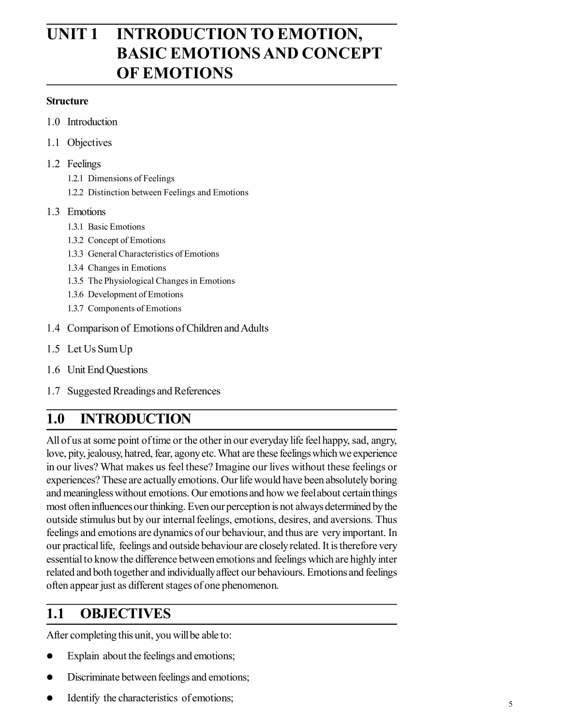# **UNIT 1 INTRODUCTION TO EMOTION, BASIC EMOTIONS AND CONCEPT OF EMOTIONS**

#### **Structure**

- 1.0 Introduction
- 1.1 Objectives
- 1.2 Feelings
	- 1.2.1 Dimensions of Feelings
	- 1.2.2 Distinction between Feelings and Emotions

#### 1.3 Emotions

- 1.3.1 Basic Emotions
- 1.3.2 Concept of Emotions
- 1.3.3 General Characteristics of Emotions
- 1.3.4 Changes in Emotions
- 1.3.5 The Physiological Changes in Emotions
- 1.3.6 Development of Emotions
- 1.3.7 Components of Emotions
- 1.4 Comparison of Emotions of Children and Adults
- 1.5 Let Us Sum Up
- 1.6 Unit End Questions
- 1.7 Suggested Rreadings and References

## **1.0 INTRODUCTION**

All of us at some point of time or the other in our everyday life feel happy, sad, angry, love, pity, jealousy, hatred, fear, agony etc. What are these feelings which we experience in our lives? What makes us feel these? Imagine our lives without these feelings or experiences? These are actually emotions. Our life would have been absolutely boring and meaningless without emotions. Our emotions and how we feel about certain things most often influences our thinking. Even our perception is not always determined by the outside stimulus but by our internal feelings, emotions, desires, and aversions. Thus feelings and emotions are dynamics of our behaviour, and thus are very important. In our practical life, feelings and outside behaviour are closely related. It is therefore very essential to know the difference between emotions and feelings which are highly inter related and both together and individually affect our behaviours. Emotions and feelings often appear just as different stages of one phenomenon.

## **1.1 OBJECTIVES**

After completing this unit, you will be able to:

- Explain about the feelings and emotions;
- Discriminate between feelings and emotions;
- Identify the characteristics of emotions;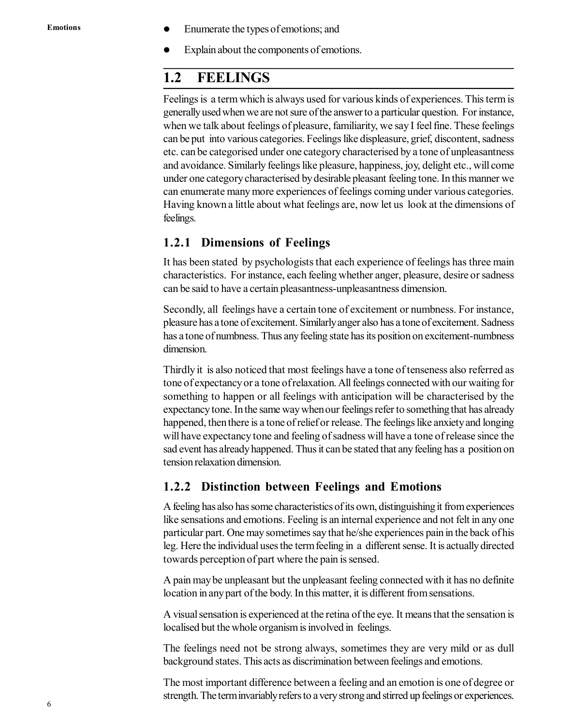- Enumerate the types of emotions; and
- Explain about the components of emotions.

### **1.2 FEELINGS**

Feelings is a term which is always used for various kinds of experiences. This term is generally used when we are not sure of the answer to a particular question. For instance, when we talk about feelings of pleasure, familiarity, we say I feel fine. These feelings can be put into various categories. Feelings like displeasure, grief, discontent, sadness etc. can be categorised under one category characterised by a tone of unpleasantness and avoidance. Similarly feelings like pleasure, happiness, joy, delight etc., will come under one category characterised by desirable pleasant feeling tone. In this manner we can enumerate many more experiences of feelings coming under various categories. Having known a little about what feelings are, now let us look at the dimensions of feelings.

#### **1.2.1 Dimensions of Feelings**

It has been stated by psychologists that each experience of feelings has three main characteristics. For instance, each feeling whether anger, pleasure, desire or sadness can be said to have a certain pleasantness-unpleasantness dimension.

Secondly, all feelings have a certain tone of excitement or numbness. For instance, pleasure has a tone of excitement. Similarly anger also has a tone of excitement. Sadness has a tone of numbness. Thus any feeling state has its position on excitement-numbness dimension.

Thirdly it is also noticed that most feelings have a tone of tenseness also referred as tone of expectancy or a tone of relaxation. All feelings connected with our waiting for something to happen or all feelings with anticipation will be characterised by the expectancy tone. In the same way when our feelings refer to something that has already happened, then there is a tone of relief or release. The feelings like anxiety and longing will have expectancy tone and feeling of sadness will have a tone of release since the sad event has already happened. Thus it can be stated that any feeling has a position on tension relaxation dimension.

#### **1.2.2 Distinction between Feelings and Emotions**

A feeling has also has some characteristics of its own, distinguishing it from experiences like sensations and emotions. Feeling is an internal experience and not felt in any one particular part. One may sometimes say that he/she experiences pain in the back of his leg. Here the individual uses the term feeling in a different sense. It is actually directed towards perception of part where the pain is sensed.

A pain may be unpleasant but the unpleasant feeling connected with it has no definite location in any part of the body. In this matter, it is different from sensations.

A visual sensation is experienced at the retina of the eye. It means that the sensation is localised but the whole organism is involved in feelings.

The feelings need not be strong always, sometimes they are very mild or as dull background states. This acts as discrimination between feelings and emotions.

The most important difference between a feeling and an emotion is one of degree or strength. The term invariably refers to a very strong and stirred up feelings or experiences.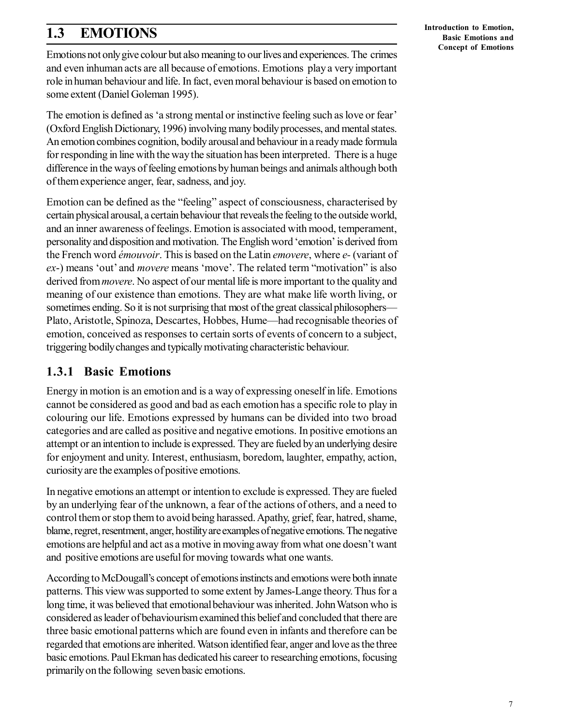## **1.3 EMOTIONS**

Emotions not only give colour but also meaning to our lives and experiences. The crimes and even inhuman acts are all because of emotions. Emotions play a very important role in human behaviour and life. In fact, even moral behaviour is based on emotion to some extent (Daniel Goleman 1995).

The emotion is defined as 'a strong mental or instinctive feeling such as love or fear' (Oxford English Dictionary, 1996) involving many bodily processes, and mental states. An emotion combines cognition, bodily arousal and behaviour in a ready made formula for responding in line with the way the situation has been interpreted. There is a huge difference in the ways of feeling emotions by human beings and animals although both of them experience anger, fear, sadness, and joy.

Emotion can be defined as the "feeling" aspect of consciousness, characterised by certain physical arousal, a certain behaviour that reveals the feeling to the outside world, and an inner awareness of feelings. Emotion is associated with mood, temperament, personality and disposition and motivation. The English word 'emotion' is derived from the French word *émouvoir*. This is based on the Latin *emovere*, where *e-* (variant of *ex*-) means 'out' and *movere* means 'move'. The related term "motivation" is also derived from *movere*. No aspect of our mental life is more important to the quality and meaning of our existence than emotions. They are what make life worth living, or sometimes ending. So it is not surprising that most of the great classical philosophers— Plato, Aristotle, Spinoza, Descartes, Hobbes, Hume—had recognisable theories of emotion, conceived as responses to certain sorts of events of concern to a subject, triggering bodily changes and typically motivating characteristic behaviour.

### **1.3.1 Basic Emotions**

Energy in motion is an emotion and is a way of expressing oneself in life. Emotions cannot be considered as good and bad as each emotion has a specific role to play in colouring our life. Emotions expressed by humans can be divided into two broad categories and are called as positive and negative emotions. In positive emotions an attempt or an intention to include is expressed. They are fueled by an underlying desire for enjoyment and unity. Interest, enthusiasm, boredom, laughter, empathy, action, curiosity are the examples of positive emotions.

In negative emotions an attempt or intention to exclude is expressed. They are fueled by an underlying fear of the unknown, a fear of the actions of others, and a need to control them or stop them to avoid being harassed. Apathy, grief, fear, hatred, shame, blame, regret, resentment, anger, hostility are examples of negative emotions. The negative emotions are helpful and act as a motive in moving away from what one doesn't want and positive emotions are useful for moving towards what one wants.

According to McDougall's concept of emotions instincts and emotions were both innate patterns. This view was supported to some extent by James-Lange theory. Thus for a long time, it was believed that emotional behaviour was inherited. John Watson who is considered as leader of behaviourism examined this belief and concluded that there are three basic emotional patterns which are found even in infants and therefore can be regarded that emotions are inherited. Watson identified fear, anger and love as the three basic emotions. Paul Ekman has dedicated his career to researching emotions, focusing primarily on the following seven basic emotions.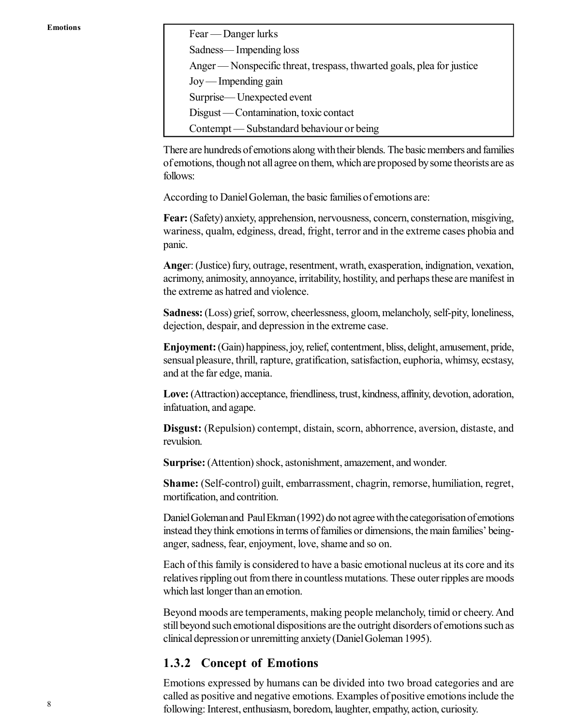Fear — Danger lurks

Sadness— Impending loss

Anger — Nonspecific threat, trespass, thwarted goals, plea for justice

Joy — Impending gain Surprise— Unexpected event

Disgust — Contamination, toxic contact

Contempt — Substandard behaviour or being

There are hundreds of emotions along with their blends. The basic members and families of emotions, though not all agree on them, which are proposed by some theorists are as follows:

According to Daniel Goleman, the basic families of emotions are:

**Fear:** (Safety) anxiety, apprehension, nervousness, concern, consternation, misgiving, wariness, qualm, edginess, dread, fright, terror and in the extreme cases phobia and panic.

**Ange**r: (Justice) fury, outrage, resentment, wrath, exasperation, indignation, vexation, acrimony, animosity, annoyance, irritability, hostility, and perhaps these are manifest in the extreme as hatred and violence.

**Sadness:** (Loss) grief, sorrow, cheerlessness, gloom, melancholy, self-pity, loneliness, dejection, despair, and depression in the extreme case.

**Enjoyment:** (Gain) happiness, joy, relief, contentment, bliss, delight, amusement, pride, sensual pleasure, thrill, rapture, gratification, satisfaction, euphoria, whimsy, ecstasy, and at the far edge, mania.

**Love:** (Attraction) acceptance, friendliness, trust, kindness, affinity, devotion, adoration, infatuation, and agape.

**Disgust:** (Repulsion) contempt, distain, scorn, abhorrence, aversion, distaste, and revulsion.

Surprise: (Attention) shock, astonishment, amazement, and wonder.

**Shame:** (Self-control) guilt, embarrassment, chagrin, remorse, humiliation, regret, mortification, and contrition.

Daniel Goleman and Paul Ekman (1992) do not agree with the categorisation of emotions instead they think emotions in terms of families or dimensions, the main families' beinganger, sadness, fear, enjoyment, love, shame and so on.

Each of this family is considered to have a basic emotional nucleus at its core and its relatives rippling out from there in countless mutations. These outer ripples are moods which last longer than an emotion.

Beyond moods are temperaments, making people melancholy, timid or cheery. And still beyond such emotional dispositions are the outright disorders of emotions such as clinical depression or unremitting anxiety (Daniel Goleman 1995).

#### **1.3.2 Concept of Emotions**

Emotions expressed by humans can be divided into two broad categories and are called as positive and negative emotions. Examples of positive emotions include the following: Interest, enthusiasm, boredom, laughter, empathy, action, curiosity.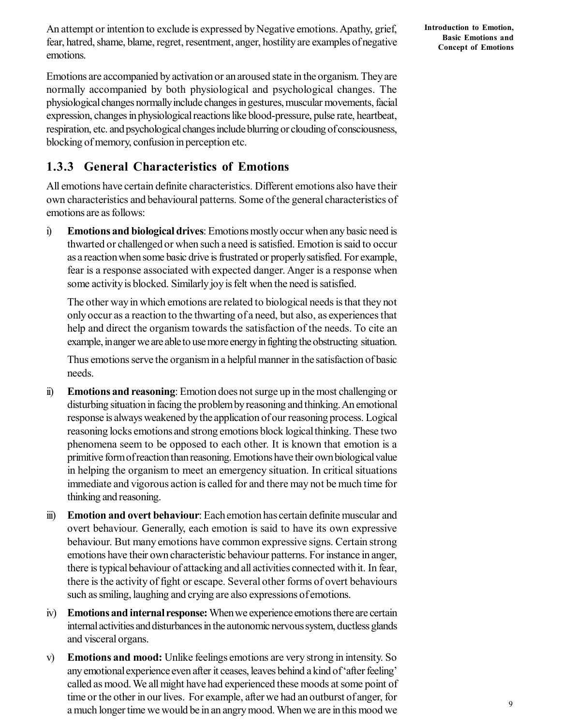An attempt or intention to exclude is expressed by Negative emotions. Apathy, grief, fear, hatred, shame, blame, regret, resentment, anger, hostility are examples of negative emotions.

**Introduction to Emotion, Basic Emotions and Concept of Emotions**

Emotions are accompanied by activation or an aroused state in the organism. They are normally accompanied by both physiological and psychological changes. The physiological changes normally include changes in gestures, muscular movements, facial expression, changes in physiological reactions like blood-pressure, pulse rate, heartbeat, respiration, etc. and psychological changes include blurring or clouding of consciousness, blocking of memory, confusion in perception etc.

### **1.3.3 General Characteristics of Emotions**

All emotions have certain definite characteristics. Different emotions also have their own characteristics and behavioural patterns. Some of the general characteristics of emotions are as follows:

i) **Emotions and biological drives**: Emotions mostly occur when any basic need is thwarted or challenged or when such a need is satisfied. Emotion is said to occur as a reaction when some basic drive is frustrated or properly satisfied. For example, fear is a response associated with expected danger. Anger is a response when some activity is blocked. Similarly joy is felt when the need is satisfied.

The other way in which emotions are related to biological needs is that they not only occur as a reaction to the thwarting of a need, but also, as experiences that help and direct the organism towards the satisfaction of the needs. To cite an example, in anger we are able to use more energy in fighting the obstructing situation.

Thus emotions serve the organism in a helpful manner in the satisfaction of basic needs.

- ii) **Emotions and reasoning**: Emotion does not surge up in the most challenging or disturbing situation in facing the problem by reasoning and thinking. An emotional response is always weakened by the application of our reasoning process. Logical reasoning locks emotions and strong emotions block logical thinking. These two phenomena seem to be opposed to each other. It is known that emotion is a primitive form of reaction than reasoning. Emotions have their own biological value in helping the organism to meet an emergency situation. In critical situations immediate and vigorous action is called for and there may not be much time for thinking and reasoning.
- iii) **Emotion and overt behaviour**: Each emotion has certain definite muscular and overt behaviour. Generally, each emotion is said to have its own expressive behaviour. But many emotions have common expressive signs. Certain strong emotions have their own characteristic behaviour patterns. For instance in anger, there is typical behaviour of attacking and all activities connected with it. In fear, there is the activity of fight or escape. Several other forms of overt behaviours such as smiling, laughing and crying are also expressions of emotions.
- iv) **Emotions and internal response:** When we experience emotions there are certain internal activities and disturbances in the autonomic nervous system, ductless glands and visceral organs.
- v) **Emotions and mood:** Unlike feelings emotions are very strong in intensity. So any emotional experience even after it ceases, leaves behind a kind of 'after feeling' called as mood. We all might have had experienced these moods at some point of time or the other in our lives. For example, after we had an outburst of anger, for a much longer time we would be in an angry mood. When we are in this mood we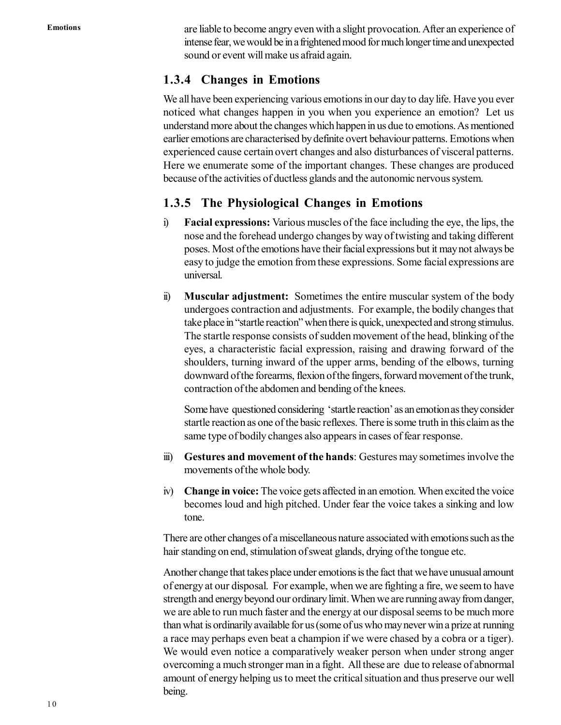are liable to become angry even with a slight provocation. After an experience of intense fear, we would be in a frightened mood for much longer time and unexpected sound or event will make us afraid again.

### **1.3.4 Changes in Emotions**

We all have been experiencing various emotions in our day to day life. Have you ever noticed what changes happen in you when you experience an emotion? Let us understand more about the changes which happen in us due to emotions. As mentioned earlier emotions are characterised by definite overt behaviour patterns. Emotions when experienced cause certain overt changes and also disturbances of visceral patterns. Here we enumerate some of the important changes. These changes are produced because of the activities of ductless glands and the autonomic nervous system.

### **1.3.5 The Physiological Changes in Emotions**

- i) **Facial expressions:** Various muscles of the face including the eye, the lips, the nose and the forehead undergo changes by way of twisting and taking different poses. Most of the emotions have their facial expressions but it may not always be easy to judge the emotion from these expressions. Some facial expressions are universal.
- ii) **Muscular adjustment:** Sometimes the entire muscular system of the body undergoes contraction and adjustments. For example, the bodily changes that take place in "startle reaction" when there is quick, unexpected and strong stimulus. The startle response consists of sudden movement of the head, blinking of the eyes, a characteristic facial expression, raising and drawing forward of the shoulders, turning inward of the upper arms, bending of the elbows, turning downward of the forearms, flexion of the fingers, forward movement of the trunk, contraction of the abdomen and bending of the knees.

Some have questioned considering 'startle reaction' as an emotion as they consider startle reaction as one of the basic reflexes. There is some truth in this claim as the same type of bodily changes also appears in cases of fear response.

- iii) **Gestures and movement of the hands**: Gestures may sometimes involve the movements of the whole body.
- iv) **Change in voice:** The voice gets affected in an emotion. When excited the voice becomes loud and high pitched. Under fear the voice takes a sinking and low tone.

There are other changes of a miscellaneous nature associated with emotions such as the hair standing on end, stimulation of sweat glands, drying of the tongue etc.

Another change that takes place under emotions is the fact that we have unusual amount of energy at our disposal. For example, when we are fighting a fire, we seem to have strength and energy beyond our ordinary limit. When we are running away from danger, we are able to run much faster and the energy at our disposal seems to be much more than what is ordinarily available for us (some of us who may never win a prize at running a race may perhaps even beat a champion if we were chased by a cobra or a tiger). We would even notice a comparatively weaker person when under strong anger overcoming a much stronger man in a fight. All these are due to release of abnormal amount of energy helping us to meet the critical situation and thus preserve our well being.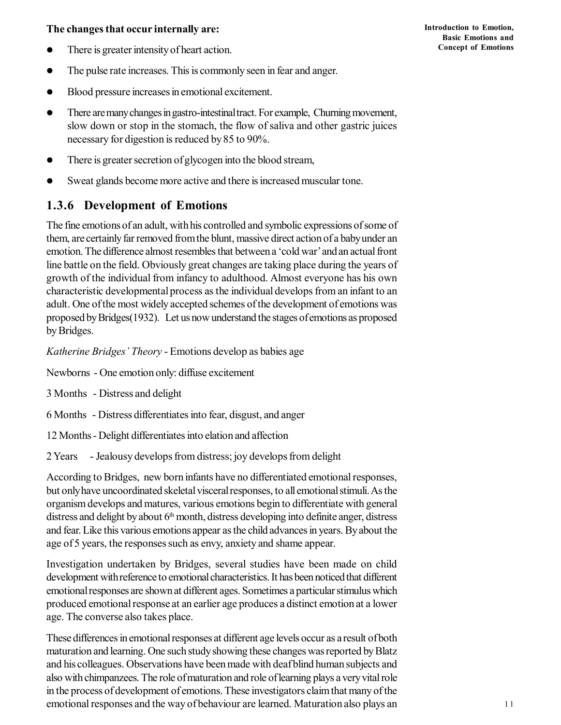#### **The changes that occur internally are:**

- There is greater intensity of heart action.
- The pulse rate increases. This is commonly seen in fear and anger.
- Blood pressure increases in emotional excitement.
- There are many changes in gastro-intestinal tract. For example, Churning movement, slow down or stop in the stomach, the flow of saliva and other gastric juices necessary for digestion is reduced by 85 to 90%.
- There is greater secretion of glycogen into the blood stream,
- Sweat glands become more active and there is increased muscular tone.

### **1.3.6 Development of Emotions**

The fine emotions of an adult, with his controlled and symbolic expressions of some of them, are certainly far removed from the blunt, massive direct action of a baby under an emotion. The difference almost resembles that between a 'cold war' and an actual front line battle on the field. Obviously great changes are taking place during the years of growth of the individual from infancy to adulthood. Almost everyone has his own characteristic developmental process as the individual develops from an infant to an adult. One of the most widely accepted schemes of the development of emotions was proposed by Bridges(1932). Let us now understand the stages of emotions as proposed by Bridges.

*Katherine Bridges' Theory* - Emotions develop as babies age

- Newborns One emotion only: diffuse excitement
- 3 Months Distress and delight
- 6 Months Distress differentiates into fear, disgust, and anger
- 12 Months Delight differentiates into elation and affection
- 2 Years Jealousy develops from distress; joy develops from delight

According to Bridges, new born infants have no differentiated emotional responses, but only have uncoordinated skeletal visceral responses, to all emotional stimuli. As the organism develops and matures, various emotions begin to differentiate with general distress and delight by about  $6<sup>th</sup>$  month, distress developing into definite anger, distress and fear. Like this various emotions appear as the child advances in years. By about the age of 5 years, the responses such as envy, anxiety and shame appear.

Investigation undertaken by Bridges, several studies have been made on child development with reference to emotional characteristics. It has been noticed that different emotional responses are shown at different ages. Sometimes a particular stimulus which produced emotional response at an earlier age produces a distinct emotion at a lower age. The converse also takes place.

These differences in emotional responses at different age levels occur as a result of both maturation and learning. One such study showing these changes was reported by Blatz and his colleagues. Observations have been made with deaf blind human subjects and also with chimpanzees. The role of maturation and role of learning plays a very vital role in the process of development of emotions. These investigators claim that many of the emotional responses and the way of behaviour are learned. Maturation also plays an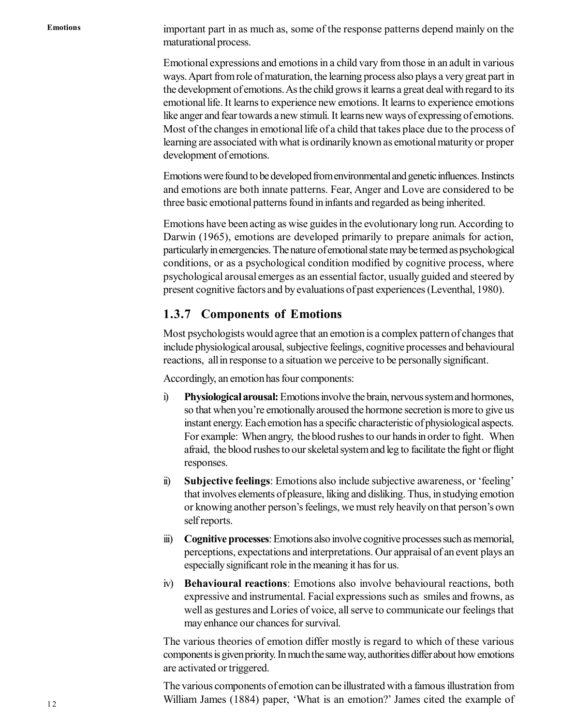important part in as much as, some of the response patterns depend mainly on the maturational process.

Emotional expressions and emotions in a child vary from those in an adult in various ways. Apart from role of maturation, the learning process also plays a very great part in the development of emotions. As the child grows it learns a great deal with regard to its emotional life. It learns to experience new emotions. It learns to experience emotions like anger and fear towards a new stimuli. It learns new ways of expressing of emotions. Most of the changes in emotional life of a child that takes place due to the process of learning are associated with what is ordinarily known as emotional maturity or proper development of emotions.

Emotions were found to be developed from environmental and genetic influences. Instincts and emotions are both innate patterns. Fear, Anger and Love are considered to be three basic emotional patterns found in infants and regarded as being inherited.

Emotions have been acting as wise guides in the evolutionary long run. According to Darwin (1965), emotions are developed primarily to prepare animals for action, particularly in emergencies. The nature of emotional state may be termed as psychological conditions, or as a psychological condition modified by cognitive process, where psychological arousal emerges as an essential factor, usually guided and steered by present cognitive factors and by evaluations of past experiences (Leventhal, 1980).

### **1.3.7 Components of Emotions**

Most psychologists would agree that an emotion is a complex pattern of changes that include physiological arousal, subjective feelings, cognitive processes and behavioural reactions, all in response to a situation we perceive to be personally significant.

Accordingly, an emotion has four components:

- i) **Physiological arousal:** Emotions involve the brain, nervous system and hormones, so that when you're emotionally aroused the hormone secretion is more to give us instant energy. Each emotion has a specific characteristic of physiological aspects. For example: When angry, the blood rushes to our hands in order to fight. When afraid, the blood rushes to our skeletal system and leg to facilitate the fight or flight responses.
- ii) **Subjective feelings**: Emotions also include subjective awareness, or 'feeling' that involves elements of pleasure, liking and disliking. Thus, in studying emotion or knowing another person's feelings, we must rely heavily on that person's own self reports.
- iii) **Cognitive processes**: Emotions also involve cognitive processes such as memorial, perceptions, expectations and interpretations. Our appraisal of an event plays an especially significant role in the meaning it has for us.
- iv) **Behavioural reactions**: Emotions also involve behavioural reactions, both expressive and instrumental. Facial expressions such as smiles and frowns, as well as gestures and Lories of voice, all serve to communicate our feelings that may enhance our chances for survival.

The various theories of emotion differ mostly is regard to which of these various components is given priority. In much the same way, authorities differ about how emotions are activated or triggered.

The various components of emotion can be illustrated with a famous illustration from William James (1884) paper, 'What is an emotion?' James cited the example of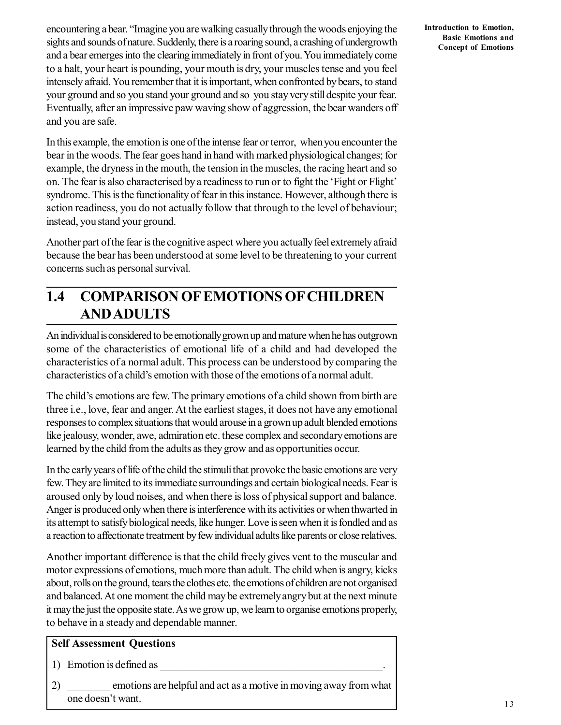encountering a bear. "Imagine you are walking casually through the woods enjoying the sights and sounds of nature. Suddenly, there is a roaring sound, a crashing of undergrowth and a bear emerges into the clearing immediately in front of you. You immediately come to a halt, your heart is pounding, your mouth is dry, your muscles tense and you feel intensely afraid. You remember that it is important, when confronted by bears, to stand your ground and so you stand your ground and so you stay very still despite your fear. Eventually, after an impressive paw waving show of aggression, the bear wanders off and you are safe.

In this example, the emotion is one of the intense fear or terror, when you encounter the bear in the woods. The fear goes hand in hand with marked physiological changes; for example, the dryness in the mouth, the tension in the muscles, the racing heart and so on. The fear is also characterised by a readiness to run or to fight the 'Fight or Flight' syndrome. This is the functionality of fear in this instance. However, although there is action readiness, you do not actually follow that through to the level of behaviour; instead, you stand your ground.

Another part of the fear is the cognitive aspect where you actually feel extremely afraid because the bear has been understood at some level to be threatening to your current concerns such as personal survival.

## **1.4 COMPARISON OF EMOTIONS OF CHILDREN AND ADULTS**

An individual is considered to be emotionally grown up and mature when he has outgrown some of the characteristics of emotional life of a child and had developed the characteristics of a normal adult. This process can be understood by comparing the characteristics of a child's emotion with those of the emotions of a normal adult.

The child's emotions are few. The primary emotions of a child shown from birth are three i.e., love, fear and anger. At the earliest stages, it does not have any emotional responses to complex situations that would arouse in a grown up adult blended emotions like jealousy, wonder, awe, admiration etc. these complex and secondary emotions are learned by the child from the adults as they grow and as opportunities occur.

In the early years of life of the child the stimuli that provoke the basic emotions are very few. They are limited to its immediate surroundings and certain biological needs. Fear is aroused only by loud noises, and when there is loss of physical support and balance. Anger is produced only when there is interference with its activities or when thwarted in its attempt to satisfy biological needs, like hunger. Love is seen when it is fondled and as a reaction to affectionate treatment by few individual adults like parents or close relatives.

Another important difference is that the child freely gives vent to the muscular and motor expressions of emotions, much more than adult. The child when is angry, kicks about, rolls on the ground, tears the clothes etc. the emotions of children are not organised and balanced. At one moment the child may be extremely angry but at the next minute it may the just the opposite state. As we grow up, we learn to organise emotions properly, to behave in a steady and dependable manner.

#### **Self Assessment Questions**

1) Emotion is defined as

2) \_\_\_\_\_\_\_\_ emotions are helpful and act as a motive in moving away from what one doesn't want.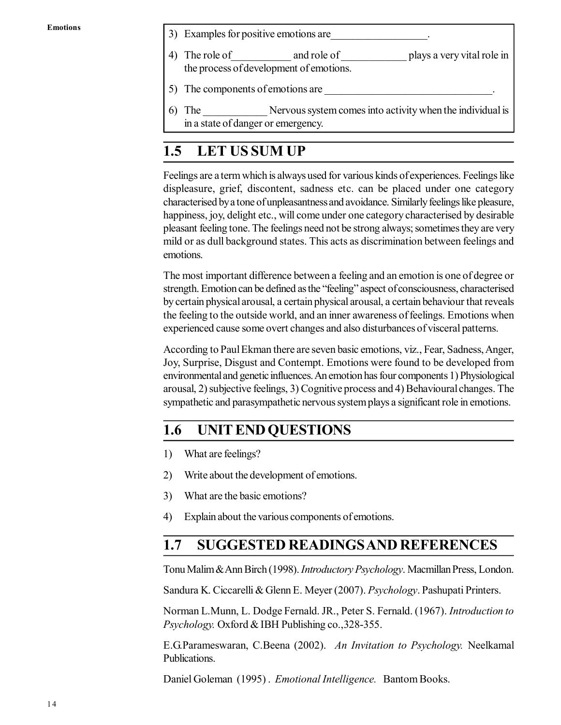- 3) Examples for positive emotions are
- 4) The role of and role of plays a very vital role in the process of development of emotions.
- 5) The components of emotions are
- 6) The \_\_\_\_\_\_\_\_\_\_\_\_ Nervous system comes into activity when the individual is in a state of danger or emergency.

## **1.5 LET US SUM UP**

Feelings are a term which is always used for various kinds of experiences. Feelings like displeasure, grief, discontent, sadness etc. can be placed under one category characterised by a tone of unpleasantness and avoidance. Similarly feelings like pleasure, happiness, joy, delight etc., will come under one category characterised by desirable pleasant feeling tone. The feelings need not be strong always; sometimes they are very mild or as dull background states. This acts as discrimination between feelings and emotions.

The most important difference between a feeling and an emotion is one of degree or strength. Emotion can be defined as the "feeling" aspect of consciousness, characterised by certain physical arousal, a certain physical arousal, a certain behaviour that reveals the feeling to the outside world, and an inner awareness of feelings. Emotions when experienced cause some overt changes and also disturbances of visceral patterns.

According to Paul Ekman there are seven basic emotions, viz., Fear, Sadness, Anger, Joy, Surprise, Disgust and Contempt. Emotions were found to be developed from environmental and genetic influences. An emotion has four components 1) Physiological arousal, 2) subjective feelings, 3) Cognitive process and 4) Behavioural changes. The sympathetic and parasympathetic nervous system plays a significant role in emotions.

## **1.6 UNIT END QUESTIONS**

- 1) What are feelings?
- 2) Write about the development of emotions.
- 3) What are the basic emotions?
- 4) Explain about the various components of emotions.

## **1.7 SUGGESTED READINGS AND REFERENCES**

Tonu Malim & Ann Birch (1998). *Introductory Psychology*. Macmillan Press, London.

Sandura K. Ciccarelli & Glenn E. Meyer (2007). *Psychology*. Pashupati Printers.

Norman L.Munn, L. Dodge Fernald. JR., Peter S. Fernald. (1967). *Introduction to Psychology.* Oxford & IBH Publishing co.,328-355.

E.G.Parameswaran, C.Beena (2002). *An Invitation to Psychology.* Neelkamal Publications.

Daniel Goleman (1995) . *Emotional Intelligence.* Bantom Books.